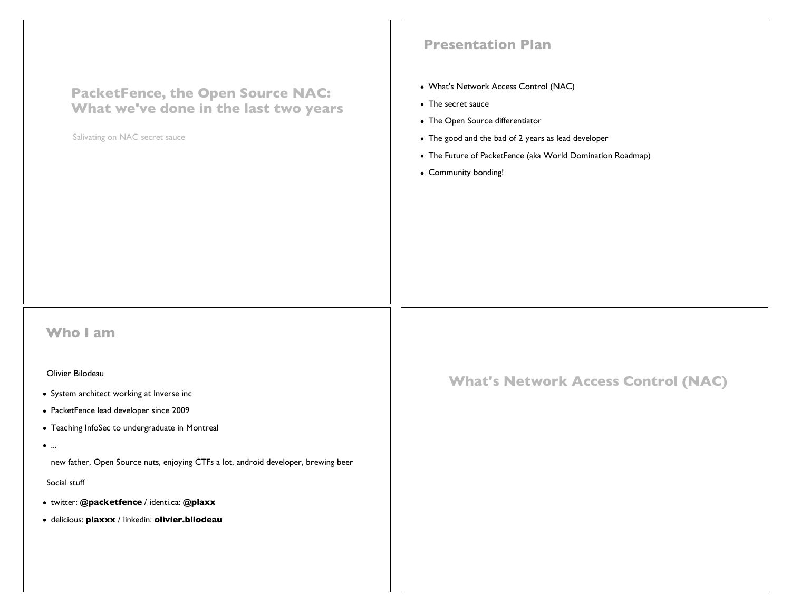| <b>PacketFence, the Open Source NAC:</b><br>What we've done in the last two years<br>Salivating on NAC secret sauce                                                                                                                                                                                                                                                                                  | <b>Presentation Plan</b><br>• What's Network Access Control (NAC)<br>• The secret sauce<br>• The Open Source differentiator<br>• The good and the bad of 2 years as lead developer<br>• The Future of PacketFence (aka World Domination Roadmap)<br>• Community bonding! |
|------------------------------------------------------------------------------------------------------------------------------------------------------------------------------------------------------------------------------------------------------------------------------------------------------------------------------------------------------------------------------------------------------|--------------------------------------------------------------------------------------------------------------------------------------------------------------------------------------------------------------------------------------------------------------------------|
| <b>Who I am</b><br>Olivier Bilodeau<br>• System architect working at Inverse inc<br>• PacketFence lead developer since 2009<br>• Teaching InfoSec to undergraduate in Montreal<br>$\bullet$<br>new father, Open Source nuts, enjoying CTFs a lot, android developer, brewing beer<br>Social stuff<br>· twitter: @packetfence / identi.ca: @plaxx<br>· delicious: plaxxx / linkedin: olivier.bilodeau | <b>What's Network Access Control (NAC)</b>                                                                                                                                                                                                                               |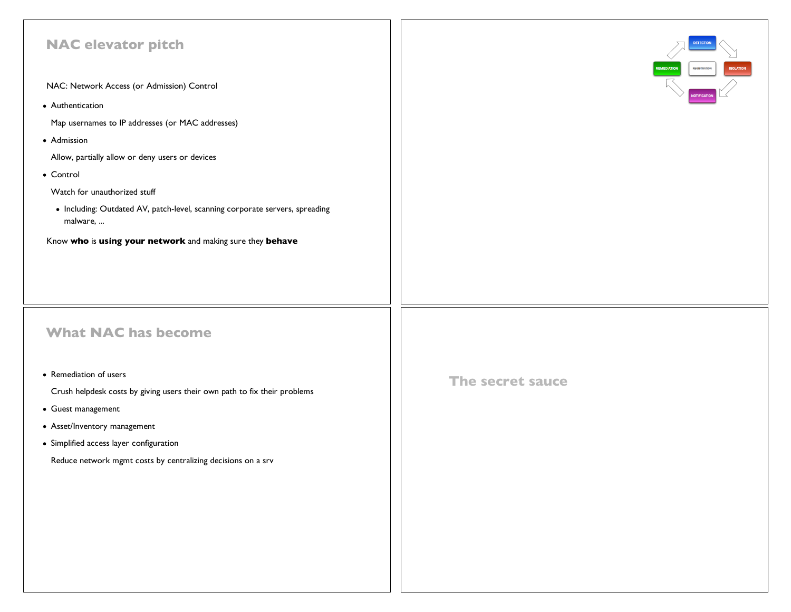| <b>NAC elevator pitch</b><br>NAC: Network Access (or Admission) Control<br>• Authentication<br>Map usernames to IP addresses (or MAC addresses)<br>• Admission<br>Allow, partially allow or deny users or devices<br>• Control<br>Watch for unauthorized stuff<br>• Including: Outdated AV, patch-level, scanning corporate servers, spreading<br>malware,<br>Know who is using your network and making sure they behave |                  |
|--------------------------------------------------------------------------------------------------------------------------------------------------------------------------------------------------------------------------------------------------------------------------------------------------------------------------------------------------------------------------------------------------------------------------|------------------|
| <b>What NAC has become</b><br>• Remediation of users<br>Crush helpdesk costs by giving users their own path to fix their problems<br>• Guest management<br>• Asset/Inventory management<br>• Simplified access layer configuration<br>Reduce network mgmt costs by centralizing decisions on a srv                                                                                                                       | The secret sauce |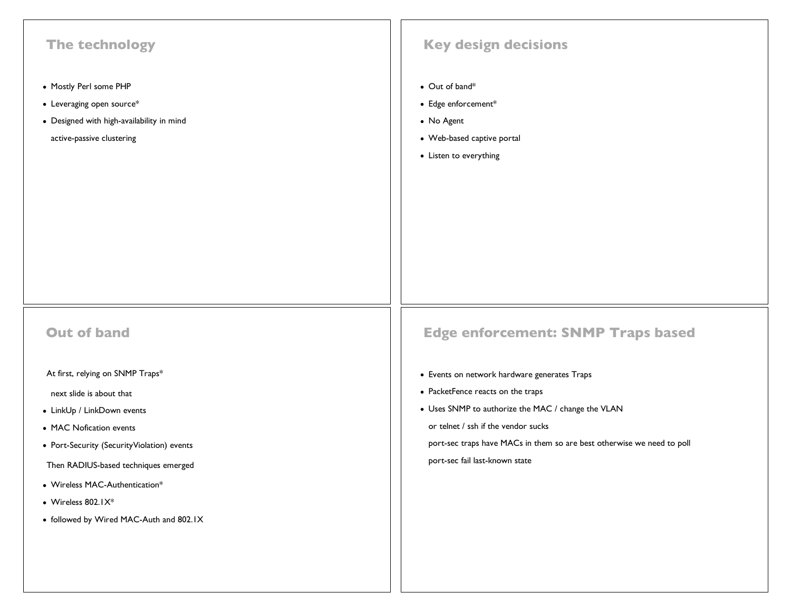| The technology                                                                                                                        | <b>Key design decisions</b>                                                                                 |
|---------------------------------------------------------------------------------------------------------------------------------------|-------------------------------------------------------------------------------------------------------------|
| • Mostly Perl some PHP<br>$\bullet$ Leveraging open source*<br>• Designed with high-availability in mind<br>active-passive clustering | • Out of band*<br>• Edge enforcement*<br>• No Agent<br>• Web-based captive portal<br>• Listen to everything |
| <b>Out of band</b>                                                                                                                    | <b>Edge enforcement: SNMP Traps based</b>                                                                   |
| At first, relying on SNMP Traps*                                                                                                      | • Events on network hardware generates Traps                                                                |
| next slide is about that                                                                                                              | • PacketFence reacts on the traps                                                                           |
| • LinkUp / LinkDown events                                                                                                            | • Uses SNMP to authorize the MAC / change the VLAN<br>or telnet / ssh if the vendor sucks                   |
| • MAC Nofication events<br>• Port-Security (SecurityViolation) events                                                                 | port-sec traps have MACs in them so are best otherwise we need to poll                                      |
| Then RADIUS-based techniques emerged                                                                                                  | port-sec fail last-known state                                                                              |
| • Wireless MAC-Authentication*                                                                                                        |                                                                                                             |
| $\bullet$ Wireless 802.1 $X^*$                                                                                                        |                                                                                                             |
| • followed by Wired MAC-Auth and 802.1X                                                                                               |                                                                                                             |
|                                                                                                                                       |                                                                                                             |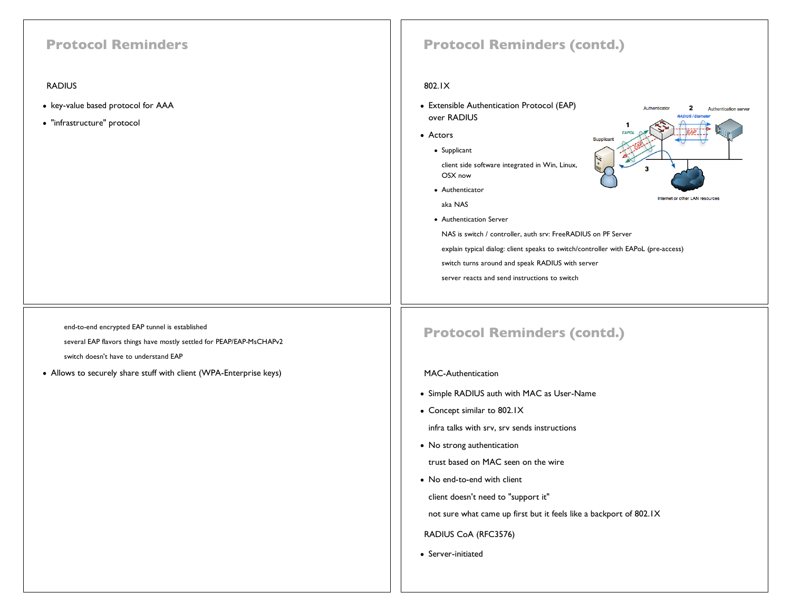### **Protocol Reminders**

#### RADIUS

- key-value based protocol for AAA
- "infrastructure" protocol

### end-to-end encrypted EAP tunnel is established

several EAP flavors things have mostly settled for PEAP/EAP-MsCHAPv2

switch doesn't have to understand EAP

Allows to securely share stuff with client (WPA-Enterprise keys)

### **Protocol Reminders (contd.)**

#### 802.1X

- Extensible Authentication Protocol (EAP) over RADIUS
- Actors
	- Supplicant
		- client side software integrated in Win, Linux, OSX now
	- Authenticator
	- aka NAS
	- Authentication Server

NAS is switch / controller, auth srv: FreeRADIUS on PF Server

explain typical dialog: client speaks to switch/controller with EAPoL (pre-access)

switch turns around and speak RADIUS with server

server reacts and send instructions to switch



### **Protocol Reminders (contd.)**

#### MAC-Authentication

- Simple RADIUS auth with MAC as User-Name
- Concept similar to 802.1X

infra talks with srv, srv sends instructions

• No strong authentication

trust based on MAC seen on the wire

• No end-to-end with client

client doesn't need to "support it"

not sure what came up first but it feels like a backport of 802.1X

RADIUS CoA (RFC3576)

• Server-initiated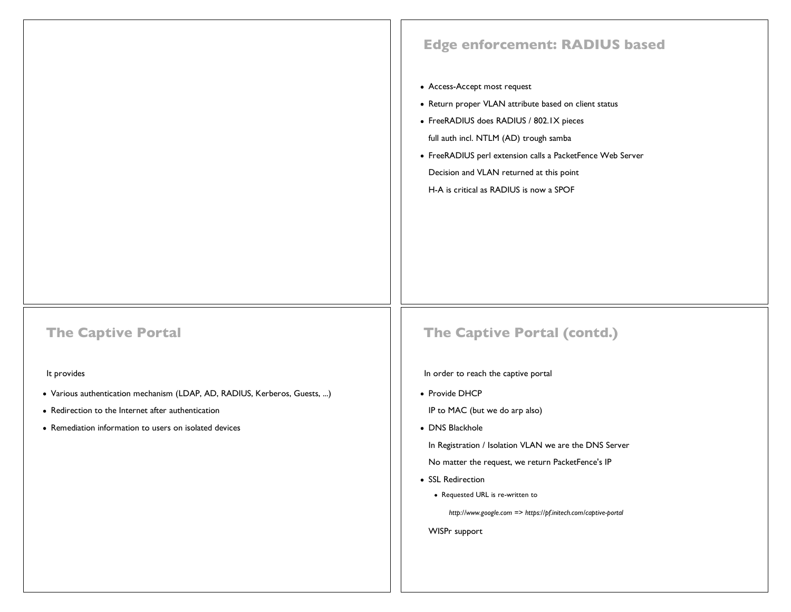# **Edge enforcement: RADIUS based** Access-Accept most request • Return proper VLAN attribute based on client status FreeRADIUS does RADIUS / 802.1X pieces full auth incl. NTLM (AD) trough samba FreeRADIUS perl extension calls a PacketFence Web Server Decision and VLAN returned at this point H-A is critical as RADIUS is now a SPOF **The Captive Portal** It provides Various authentication mechanism (LDAP, AD, RADIUS, Kerberos, Guests, ...) • Redirection to the Internet after authentication Remediation information to users on isolated devices **The Captive Portal (contd.)** In order to reach the captive portal • Provide DHCP IP to MAC (but we do arp also) • DNS Blackhole In Registration / Isolation VLAN we are the DNS Server No matter the request, we return PacketFence's IP

- SSL Redirection
	- Requested URL is re-written to

*http://www.google.com => https://pf.initech.com/captive-portal*

WISPr support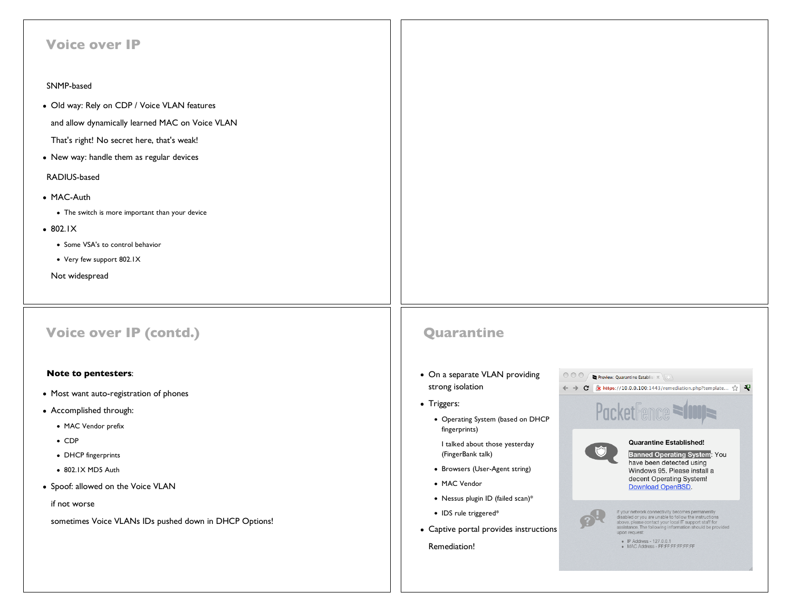| <b>Voice over IP</b>                                                                                                                                                                                                                                                                                                                                                        |                                                                                                                                                                                                                                                                                                                                                                                                                                                                                                                                                                                                                                                                                                                                                                                                                                                                                                                                                                                                                                                                                                   |
|-----------------------------------------------------------------------------------------------------------------------------------------------------------------------------------------------------------------------------------------------------------------------------------------------------------------------------------------------------------------------------|---------------------------------------------------------------------------------------------------------------------------------------------------------------------------------------------------------------------------------------------------------------------------------------------------------------------------------------------------------------------------------------------------------------------------------------------------------------------------------------------------------------------------------------------------------------------------------------------------------------------------------------------------------------------------------------------------------------------------------------------------------------------------------------------------------------------------------------------------------------------------------------------------------------------------------------------------------------------------------------------------------------------------------------------------------------------------------------------------|
| SNMP-based                                                                                                                                                                                                                                                                                                                                                                  |                                                                                                                                                                                                                                                                                                                                                                                                                                                                                                                                                                                                                                                                                                                                                                                                                                                                                                                                                                                                                                                                                                   |
| • Old way: Rely on CDP / Voice VLAN features<br>and allow dynamically learned MAC on Voice VLAN<br>That's right! No secret here, that's weak!<br>• New way: handle them as regular devices<br>RADIUS-based<br>• MAC-Auth<br>• The switch is more important than your device<br>$-802.1X$<br>• Some VSA's to control behavior<br>• Very few support 802.IX<br>Not widespread |                                                                                                                                                                                                                                                                                                                                                                                                                                                                                                                                                                                                                                                                                                                                                                                                                                                                                                                                                                                                                                                                                                   |
| <b>Voice over IP (contd.)</b>                                                                                                                                                                                                                                                                                                                                               | Quarantine                                                                                                                                                                                                                                                                                                                                                                                                                                                                                                                                                                                                                                                                                                                                                                                                                                                                                                                                                                                                                                                                                        |
| <b>Note to pentesters:</b><br>• Most want auto-registration of phones<br>• Accomplished through:<br>• MAC Vendor prefix<br>$\bullet$ CDP<br>• DHCP fingerprints<br>• 802.IX MD5 Auth<br>• Spoof: allowed on the Voice VLAN<br>if not worse<br>sometimes Voice VLANs IDs pushed down in DHCP Options!                                                                        | • On a separate VLAN providing<br>000<br>Preview: Quarantine Establisk<br>strong isolation<br>$\leftarrow$ $\rightarrow$ $\left\  \mathbf{C} \right\ $ $\times$ https://10.0.0.100:1443/remediation.php?template $\sqrt[n]{\left\  \mathbf{C} \right\ }$<br>• Triggers:<br>PacketFence<br>• Operating System (based on DHCP<br>fingerprints)<br><b>Quarantine Established!</b><br>I talked about those yesterday<br><b>Banned Operating System: You</b><br>(FingerBank talk)<br>have been detected using<br>• Browsers (User-Agent string)<br>Windows 95. Please install a<br>decent Operating System!<br>• MAC Vendor<br><b>Download OpenBSD.</b><br>• Nessus plugin ID (failed scan)*<br>If your network connectivity becomes permanently<br>• IDS rule triggered*<br>disabled or you are unable to follow the instructions<br>above, please contact your local IT support staff for<br>assistance. The following information should be provided<br>• Captive portal provides instructions<br>upon request:<br>· IP Address - 127.0.0.1<br>Remediation!<br>• MAC Address - FF:FF:FF:FF:FF:FF:FF |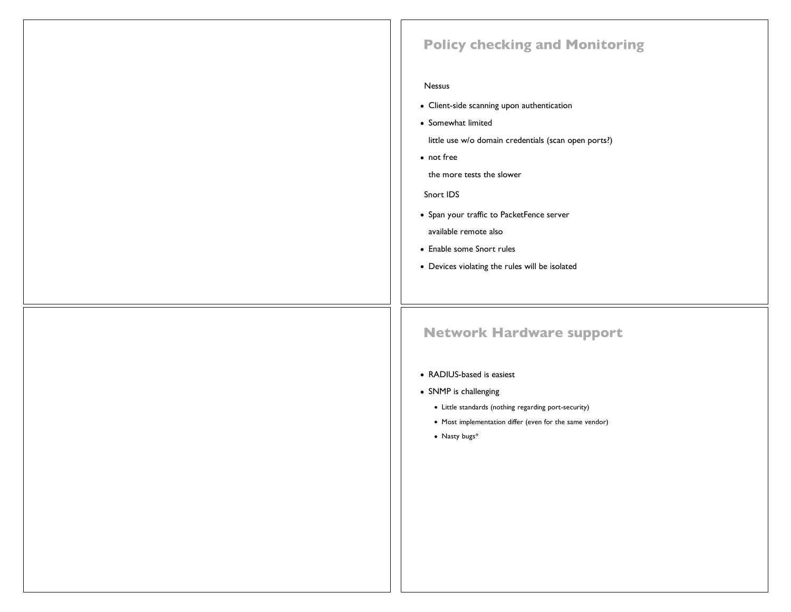### **Policy checking and Monitoring**

#### Nessus

- Client-side scanning upon authentication
- Somewhat limited

little use w/o domain credentials (scan open ports?)

• not free

the more tests the slower

Snort IDS

- Span your traffic to PacketFence server available remote also
- Enable some Snort rules
- Devices violating the rules will be isolated

### **Network Hardware support**

#### RADIUS-based is easiest

- SNMP is challenging
	- Little standards (nothing regarding port-security)
	- Most implementation differ (even for the same vendor)
	- Nasty bugs\*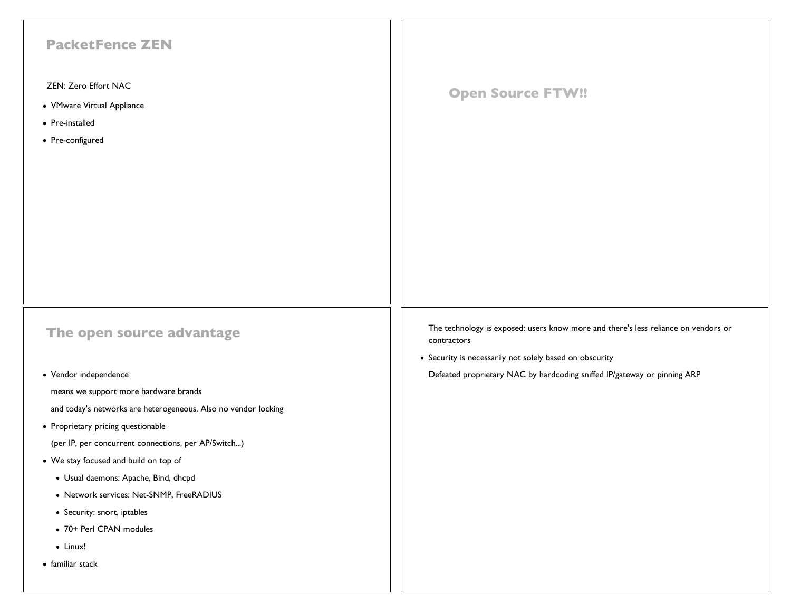| <b>PacketFence ZEN</b>                                         |                                                                                                   |
|----------------------------------------------------------------|---------------------------------------------------------------------------------------------------|
| ZEN: Zero Effort NAC                                           |                                                                                                   |
| • VMware Virtual Appliance                                     | <b>Open Source FTW!!</b>                                                                          |
| • Pre-installed                                                |                                                                                                   |
| • Pre-configured                                               |                                                                                                   |
|                                                                |                                                                                                   |
|                                                                |                                                                                                   |
|                                                                |                                                                                                   |
|                                                                |                                                                                                   |
|                                                                |                                                                                                   |
|                                                                |                                                                                                   |
|                                                                |                                                                                                   |
|                                                                |                                                                                                   |
|                                                                |                                                                                                   |
| The open source advantage                                      | The technology is exposed: users know more and there's less reliance on vendors or<br>contractors |
|                                                                | • Security is necessarily not solely based on obscurity                                           |
| • Vendor independence                                          | Defeated proprietary NAC by hardcoding sniffed IP/gateway or pinning ARP                          |
| means we support more hardware brands                          |                                                                                                   |
| and today's networks are heterogeneous. Also no vendor locking |                                                                                                   |
| • Proprietary pricing questionable                             |                                                                                                   |
| (per IP, per concurrent connections, per AP/Switch)            |                                                                                                   |
| • We stay focused and build on top of                          |                                                                                                   |
| · Usual daemons: Apache, Bind, dhcpd                           |                                                                                                   |
| • Network services: Net-SNMP, FreeRADIUS                       |                                                                                                   |
| • Security: snort, iptables                                    |                                                                                                   |
| • 70+ Perl CPAN modules                                        |                                                                                                   |
| $\bullet$ Linux!                                               |                                                                                                   |
| • familiar stack                                               |                                                                                                   |
|                                                                |                                                                                                   |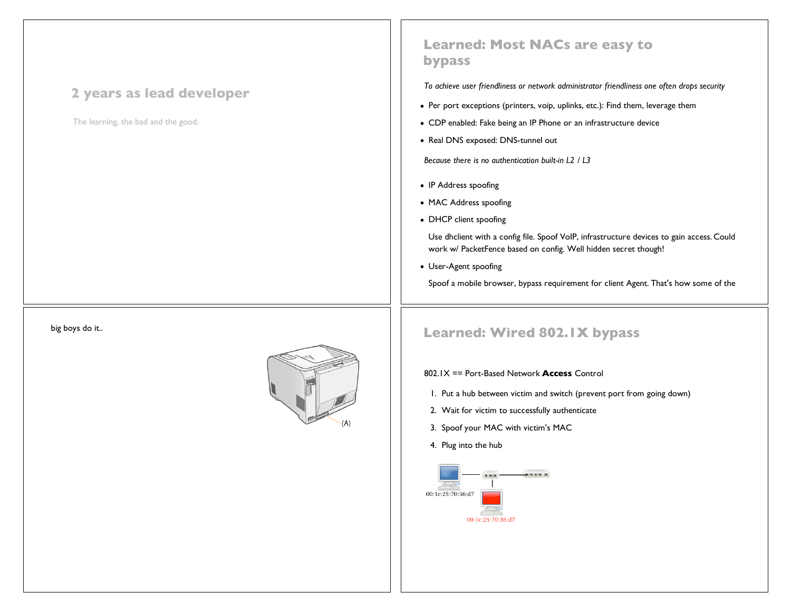### **2 years as lead developer**

The learning, the bad and the good.

### **Learned: Most NACs are easy to bypass**

*To achieve user friendliness or network administrator friendliness one often drops security*

- Per port exceptions (printers, voip, uplinks, etc.): Find them, leverage them
- CDP enabled: Fake being an IP Phone or an infrastructure device
- Real DNS exposed: DNS-tunnel out

*Because there is no authentication built-in L2 / L3*

- IP Address spoofing
- MAC Address spoofing
- DHCP client spoofing

Use dhclient with a config file. Spoof VoIP, infrastructure devices to gain access. Could work w/ PacketFence based on config. Well hidden secret though!

User-Agent spoofing

Spoof a mobile browser, bypass requirement for client Agent. That's how some of the

## big boys do it.. **Learned: Wired 802.1X bypass**

802.1X == Port-Based Network **Access** Control

- 1. Put a hub between victim and switch (prevent port from going down)
- 2. Wait for victim to successfully authenticate
- 3. Spoof your MAC with victim's MAC
- 4. Plug into the hub

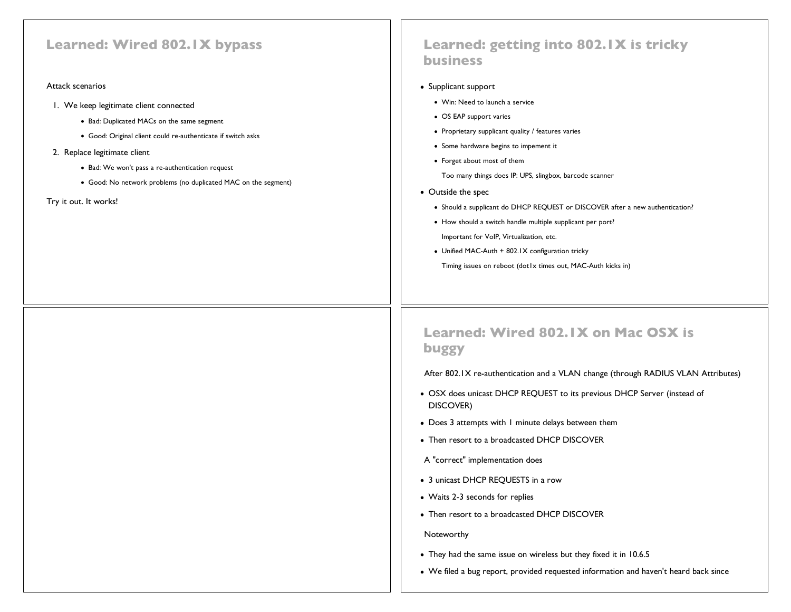### **Learned: Wired 802.1X bypass**

#### Attack scenarios

- 1. We keep legitimate client connected
	- Bad: Duplicated MACs on the same segment
	- Good: Original client could re-authenticate if switch asks
- 2. Replace legitimate client
	- Bad: We won't pass a re-authentication request
	- Good: No network problems (no duplicated MAC on the segment)
- Try it out. It works!

### **Learned: getting into 802.1X is tricky business**

- Supplicant support
	- Win: Need to launch a service
	- OS EAP support varies
	- Proprietary supplicant quality / features varies
	- Some hardware begins to impement it
	- Forget about most of them

Too many things does IP: UPS, slingbox, barcode scanner

- Outside the spec
	- Should a supplicant do DHCP REQUEST or DISCOVER after a new authentication?
	- How should a switch handle multiple supplicant per port? Important for VoIP, Virtualization, etc.
	- Unified MAC-Auth + 802.1X configuration tricky Timing issues on reboot (dot1x times out, MAC-Auth kicks in)

### **Learned: Wired 802.1X on Mac OSX is buggy**

After 802.1X re-authentication and a VLAN change (through RADIUS VLAN Attributes)

- OSX does unicast DHCP REQUEST to its previous DHCP Server (instead of DISCOVER)
- Does 3 attempts with 1 minute delays between them
- Then resort to a broadcasted DHCP DISCOVER
- A "correct" implementation does
- 3 unicast DHCP REQUESTS in a row
- Waits 2-3 seconds for replies
- Then resort to a broadcasted DHCP DISCOVER

#### Noteworthy

- They had the same issue on wireless but they fixed it in 10.6.5
- We filed a bug report, provided requested information and haven't heard back since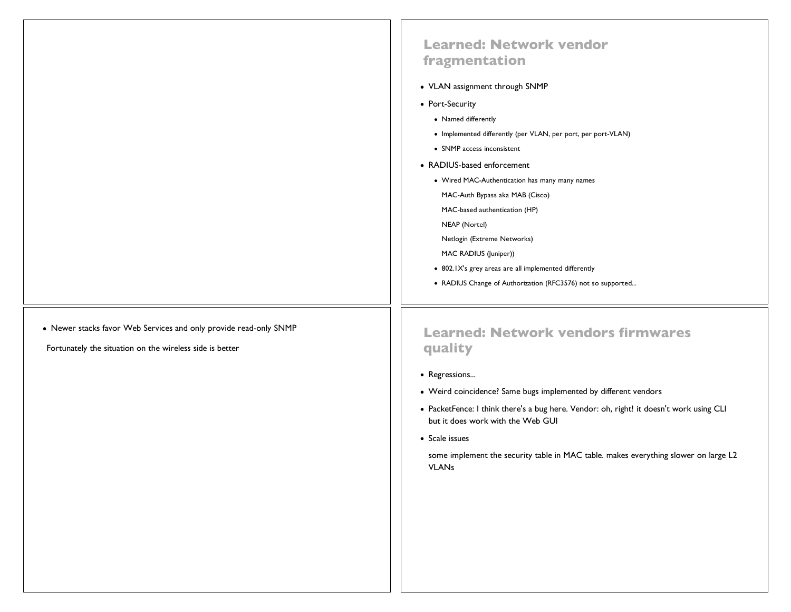|                                                                                                                               | <b>Learned: Network vendor</b><br>fragmentation<br>• VLAN assignment through SNMP<br>• Port-Security<br>• Named differently<br>• Implemented differently (per VLAN, per port, per port-VLAN)<br>• SNMP access inconsistent<br>• RADIUS-based enforcement<br>• Wired MAC-Authentication has many many names<br>MAC-Auth Bypass aka MAB (Cisco)<br>MAC-based authentication (HP)<br>NEAP (Nortel)<br>Netlogin (Extreme Networks)<br>MAC RADIUS (Juniper))<br>• 802.1X's grey areas are all implemented differently<br>• RADIUS Change of Authorization (RFC3576) not so supported |
|-------------------------------------------------------------------------------------------------------------------------------|---------------------------------------------------------------------------------------------------------------------------------------------------------------------------------------------------------------------------------------------------------------------------------------------------------------------------------------------------------------------------------------------------------------------------------------------------------------------------------------------------------------------------------------------------------------------------------|
| • Newer stacks favor Web Services and only provide read-only SNMP<br>Fortunately the situation on the wireless side is better | <b>Learned: Network vendors firmwares</b><br>quality<br>• Regressions<br>• Weird coincidence? Same bugs implemented by different vendors<br>• PacketFence: I think there's a bug here. Vendor: oh, right! it doesn't work using CLI<br>but it does work with the Web GUI<br>• Scale issues<br>some implement the security table in MAC table. makes everything slower on large L2<br><b>VLANs</b>                                                                                                                                                                               |
|                                                                                                                               |                                                                                                                                                                                                                                                                                                                                                                                                                                                                                                                                                                                 |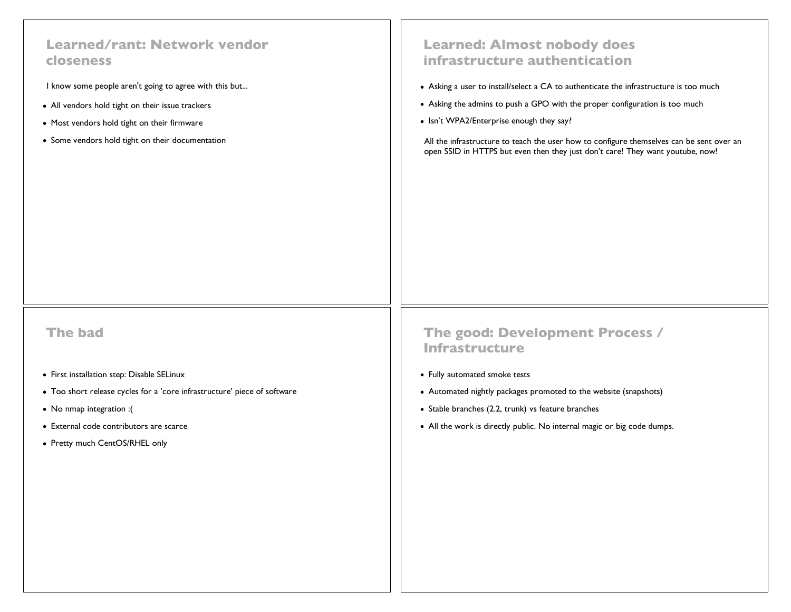### **Learned/rant: Network vendor closeness**

I know some people aren't going to agree with this but...

- All vendors hold tight on their issue trackers
- Most vendors hold tight on their firmware
- Some vendors hold tight on their documentation

### **Learned: Almost nobody does infrastructure authentication**

- Asking a user to install/select a CA to authenticate the infrastructure is too much
- Asking the admins to push a GPO with the proper configuration is too much
- Isn't WPA2/Enterprise enough they say?

All the infrastructure to teach the user how to configure themselves can be sent over an open SSID in HTTPS but even then they just don't care! They want youtube, now!

**The bad**

- First installation step: Disable SELinux
- Too short release cycles for a 'core infrastructure' piece of software
- No nmap integration :(
- External code contributors are scarce
- Pretty much CentOS/RHEL only

### **The good: Development Process / Infrastructure**

- Fully automated smoke tests
- Automated nightly packages promoted to the website (snapshots)
- Stable branches (2.2, trunk) vs feature branches
- All the work is directly public. No internal magic or big code dumps.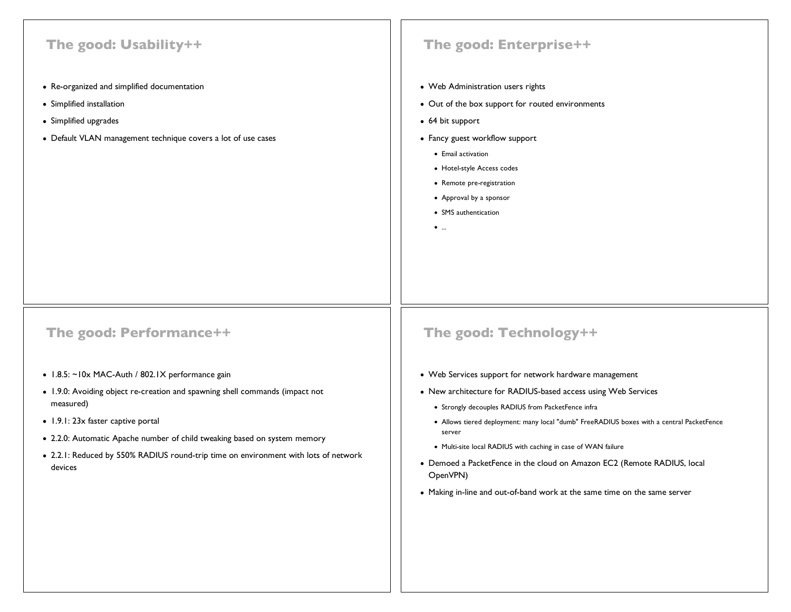### **The good: Usability++**

- Re-organized and simplified documentation
- Simplified installation
- Simplified upgrades
- Default VLAN management technique covers a lot of use cases

### **The good: Enterprise++**

- Web Administration users rights
- Out of the box support for routed environments
- 64 bit support
- Fancy guest workflow support
	- Email activation
	- Hotel-style Access codes
	- Remote pre-registration
	- Approval by a sponsor
	- SMS authentication
	- ...

### **The good: Performance++**

- 1.8.5: ~10x MAC-Auth / 802.1X performance gain
- 1.9.0: Avoiding object re-creation and spawning shell commands (impact not measured)
- 1.9.1: 23x faster captive portal
- 2.2.0: Automatic Apache number of child tweaking based on system memory
- 2.2.1: Reduced by 550% RADIUS round-trip time on environment with lots of network devices

### **The good: Technology++**

- Web Services support for network hardware management
- New architecture for RADIUS-based access using Web Services
	- Strongly decouples RADIUS from PacketFence infra
	- Allows tiered deployment: many local "dumb" FreeRADIUS boxes with a central PacketFence server
	- Multi-site local RADIUS with caching in case of WAN failure
- Demoed a PacketFence in the cloud on Amazon EC2 (Remote RADIUS, local OpenVPN)
- Making in-line and out-of-band work at the same time on the same server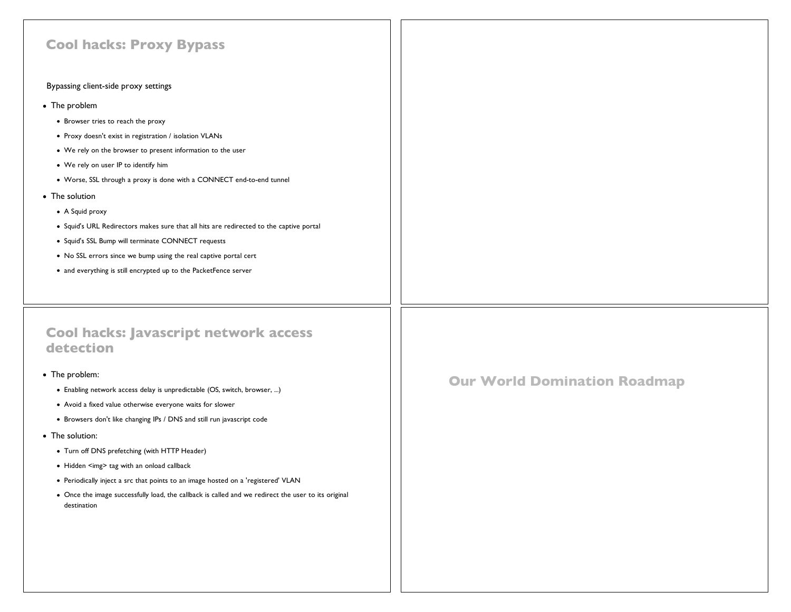| <b>Our World Domination Roadmap</b> |
|-------------------------------------|
|                                     |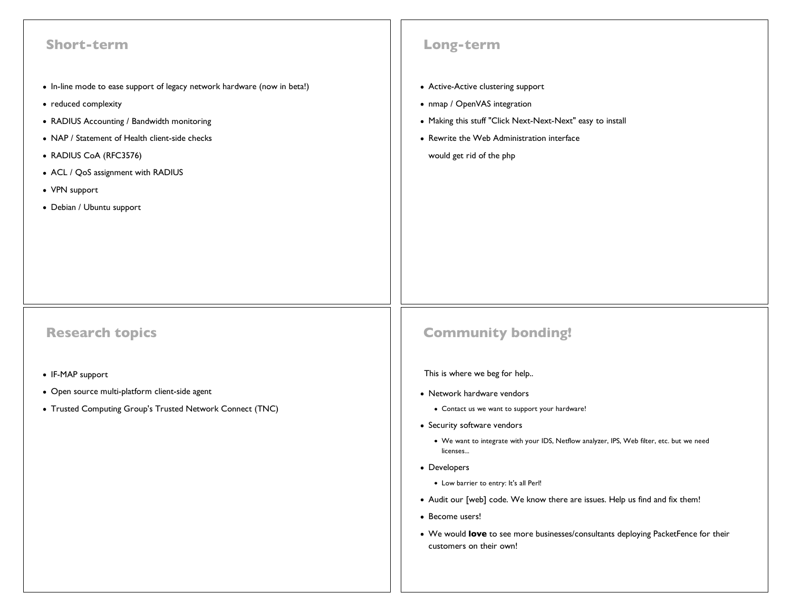| <b>Short-term</b>                                                                                                                                                                                                                                                                                              | Long-term                                                                                                                                                                                                  |
|----------------------------------------------------------------------------------------------------------------------------------------------------------------------------------------------------------------------------------------------------------------------------------------------------------------|------------------------------------------------------------------------------------------------------------------------------------------------------------------------------------------------------------|
| • In-line mode to ease support of legacy network hardware (now in beta!)<br>• reduced complexity<br>• RADIUS Accounting / Bandwidth monitoring<br>• NAP / Statement of Health client-side checks<br>• RADIUS CoA (RFC3576)<br>• ACL / QoS assignment with RADIUS<br>• VPN support<br>• Debian / Ubuntu support | • Active-Active clustering support<br>• nmap / OpenVAS integration<br>• Making this stuff "Click Next-Next-Next" easy to install<br>• Rewrite the Web Administration interface<br>would get rid of the php |
| <b>Research topics</b>                                                                                                                                                                                                                                                                                         | <b>Community bonding!</b>                                                                                                                                                                                  |
| • IF-MAP support                                                                                                                                                                                                                                                                                               | This is where we beg for help                                                                                                                                                                              |
| · Open source multi-platform client-side agent                                                                                                                                                                                                                                                                 | • Network hardware vendors                                                                                                                                                                                 |
| • Trusted Computing Group's Trusted Network Connect (TNC)                                                                                                                                                                                                                                                      | • Contact us we want to support your hardware!                                                                                                                                                             |
|                                                                                                                                                                                                                                                                                                                | • Security software vendors                                                                                                                                                                                |
|                                                                                                                                                                                                                                                                                                                | • We want to integrate with your IDS, Netflow analyzer, IPS, Web filter, etc. but we need<br>licenses                                                                                                      |
|                                                                                                                                                                                                                                                                                                                | • Developers                                                                                                                                                                                               |
|                                                                                                                                                                                                                                                                                                                | • Low barrier to entry: It's all Perl!                                                                                                                                                                     |
|                                                                                                                                                                                                                                                                                                                | • Audit our [web] code. We know there are issues. Help us find and fix them!                                                                                                                               |
|                                                                                                                                                                                                                                                                                                                | • Become users!                                                                                                                                                                                            |
|                                                                                                                                                                                                                                                                                                                | • We would love to see more businesses/consultants deploying PacketFence for their<br>customers on their own!                                                                                              |
|                                                                                                                                                                                                                                                                                                                |                                                                                                                                                                                                            |